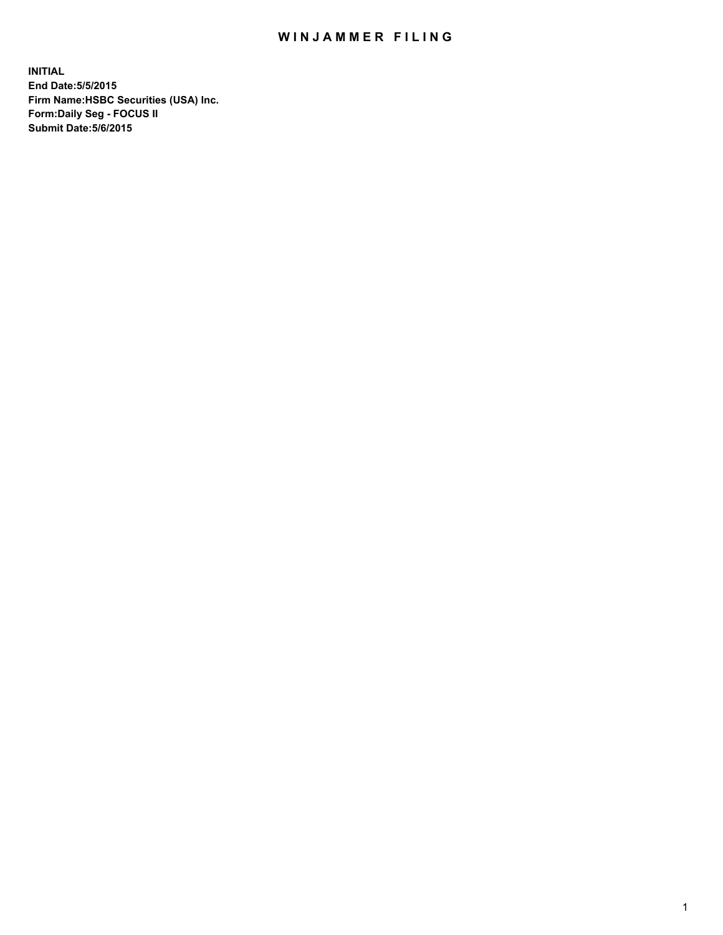## WIN JAMMER FILING

**INITIAL End Date:5/5/2015 Firm Name:HSBC Securities (USA) Inc. Form:Daily Seg - FOCUS II Submit Date:5/6/2015**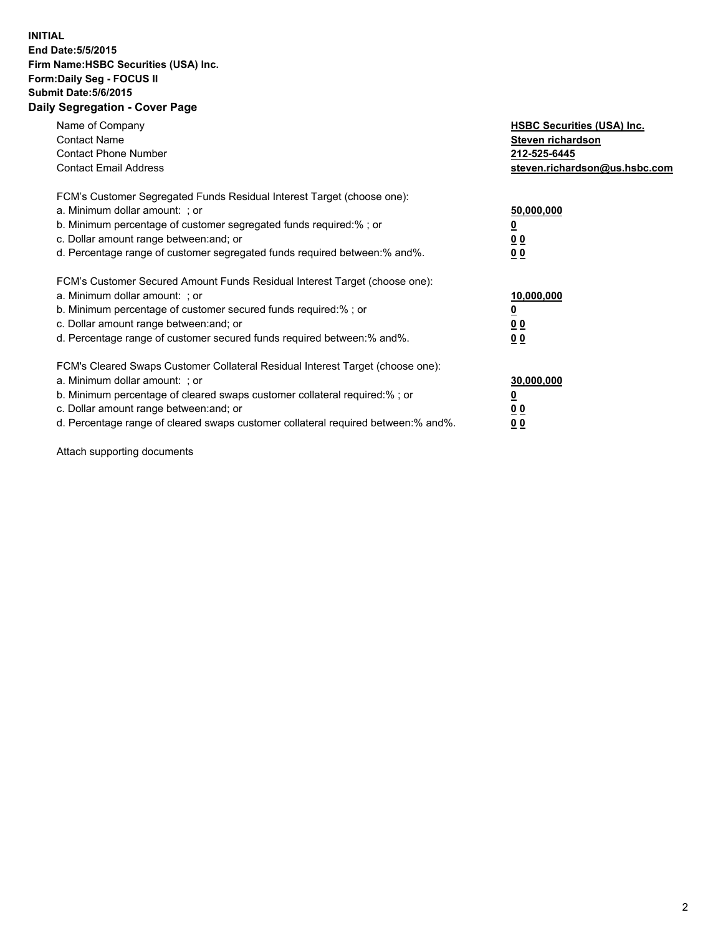## **INITIAL End Date:5/5/2015 Firm Name:HSBC Securities (USA) Inc. Form:Daily Seg - FOCUS II Submit Date:5/6/2015 Daily Segregation - Cover Page**

| Name of Company<br><b>Contact Name</b><br><b>Contact Phone Number</b><br><b>Contact Email Address</b>                                                                                                                                                                                                                         | <b>HSBC Securities (USA) Inc.</b><br>Steven richardson<br>212-525-6445<br>steven.richardson@us.hsbc.com |
|-------------------------------------------------------------------------------------------------------------------------------------------------------------------------------------------------------------------------------------------------------------------------------------------------------------------------------|---------------------------------------------------------------------------------------------------------|
| FCM's Customer Segregated Funds Residual Interest Target (choose one):<br>a. Minimum dollar amount: ; or<br>b. Minimum percentage of customer segregated funds required:% ; or<br>c. Dollar amount range between: and; or<br>d. Percentage range of customer segregated funds required between: % and %.                      | 50,000,000<br>0 <sub>0</sub><br>00                                                                      |
| FCM's Customer Secured Amount Funds Residual Interest Target (choose one):<br>a. Minimum dollar amount: ; or<br>b. Minimum percentage of customer secured funds required:%; or<br>c. Dollar amount range between: and; or<br>d. Percentage range of customer secured funds required between: % and %.                         | 10,000,000<br>00<br>00                                                                                  |
| FCM's Cleared Swaps Customer Collateral Residual Interest Target (choose one):<br>a. Minimum dollar amount: ; or<br>b. Minimum percentage of cleared swaps customer collateral required:%; or<br>c. Dollar amount range between: and; or<br>d. Percentage range of cleared swaps customer collateral required between:% and%. | 30,000,000<br>0 <sub>0</sub><br>00                                                                      |

Attach supporting documents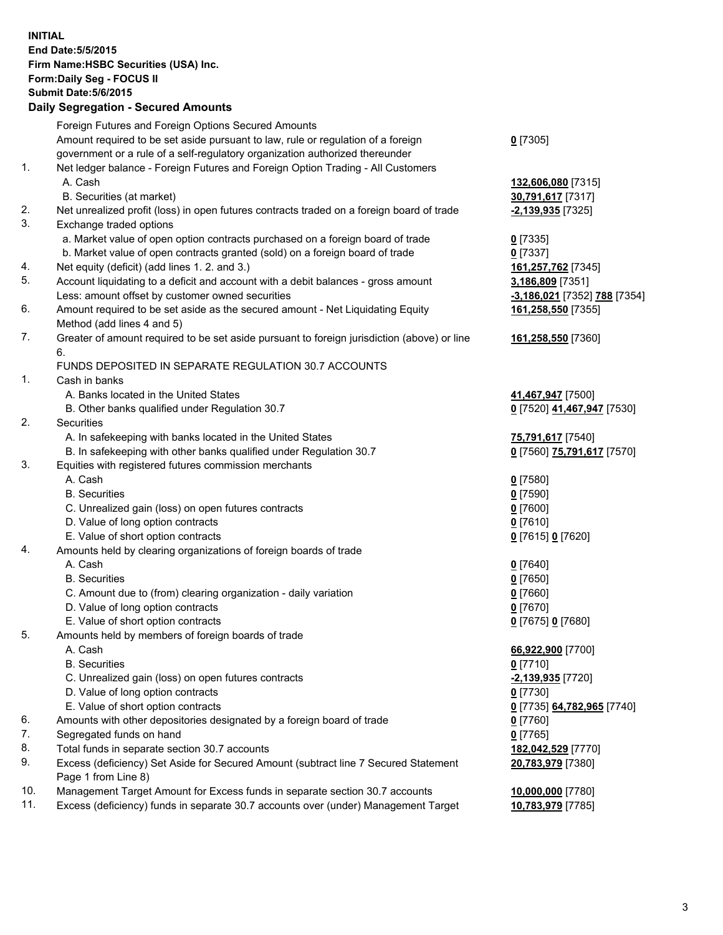**INITIAL End Date:5/5/2015 Firm Name:HSBC Securities (USA) Inc. Form:Daily Seg - FOCUS II Submit Date:5/6/2015 Daily Segregation - Secured Amounts** Foreign Futures and Foreign Options Secured Amounts Amount required to be set aside pursuant to law, rule or regulation of a foreign government or a rule of a self-regulatory organization authorized thereunder **0** [7305] 1. Net ledger balance - Foreign Futures and Foreign Option Trading - All Customers A. Cash **132,606,080** [7315] B. Securities (at market) **30,791,617** [7317] 2. Net unrealized profit (loss) in open futures contracts traded on a foreign board of trade **-2,139,935** [7325] 3. Exchange traded options a. Market value of open option contracts purchased on a foreign board of trade **0** [7335] b. Market value of open contracts granted (sold) on a foreign board of trade **0** [7337] 4. Net equity (deficit) (add lines 1. 2. and 3.) **161,257,762** [7345] 5. Account liquidating to a deficit and account with a debit balances - gross amount **3,186,809** [7351] Less: amount offset by customer owned securities **-3,186,021** [7352] **788** [7354] 6. Amount required to be set aside as the secured amount - Net Liquidating Equity Method (add lines 4 and 5) **161,258,550** [7355] 7. Greater of amount required to be set aside pursuant to foreign jurisdiction (above) or line 6. **161,258,550** [7360] FUNDS DEPOSITED IN SEPARATE REGULATION 30.7 ACCOUNTS 1. Cash in banks A. Banks located in the United States **41,467,947** [7500] B. Other banks qualified under Regulation 30.7 **0** [7520] **41,467,947** [7530] 2. Securities A. In safekeeping with banks located in the United States **75,791,617** [7540] B. In safekeeping with other banks qualified under Regulation 30.7 **0** [7560] **75,791,617** [7570] 3. Equities with registered futures commission merchants A. Cash **0** [7580] B. Securities **0** [7590] C. Unrealized gain (loss) on open futures contracts **0** [7600] D. Value of long option contracts **0** [7610] E. Value of short option contracts **0** [7615] **0** [7620] 4. Amounts held by clearing organizations of foreign boards of trade A. Cash **0** [7640] B. Securities **0** [7650] C. Amount due to (from) clearing organization - daily variation **0** [7660] D. Value of long option contracts **0** [7670] E. Value of short option contracts **0** [7675] **0** [7680] 5. Amounts held by members of foreign boards of trade A. Cash **66,922,900** [7700] B. Securities **0** [7710] C. Unrealized gain (loss) on open futures contracts **-2,139,935** [7720] D. Value of long option contracts **0** [7730] E. Value of short option contracts **0** [7735] **64,782,965** [7740] 6. Amounts with other depositories designated by a foreign board of trade **0** [7760] 7. Segregated funds on hand **0** [7765] 8. Total funds in separate section 30.7 accounts **182,042,529** [7770] 9. Excess (deficiency) Set Aside for Secured Amount (subtract line 7 Secured Statement Page 1 from Line 8) **20,783,979** [7380] 10. Management Target Amount for Excess funds in separate section 30.7 accounts **10,000,000** [7780]

11. Excess (deficiency) funds in separate 30.7 accounts over (under) Management Target **10,783,979** [7785]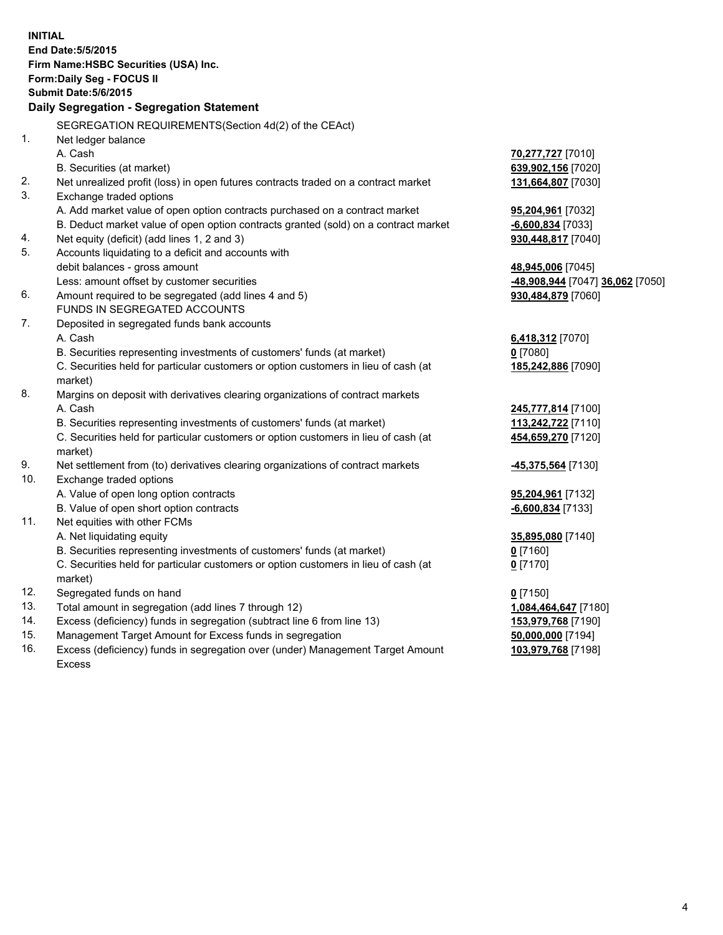| <b>INITIAL</b>             | End Date: 5/5/2015<br>Firm Name: HSBC Securities (USA) Inc.                                                                         |                                                       |  |  |  |
|----------------------------|-------------------------------------------------------------------------------------------------------------------------------------|-------------------------------------------------------|--|--|--|
| Form: Daily Seg - FOCUS II |                                                                                                                                     |                                                       |  |  |  |
|                            | <b>Submit Date: 5/6/2015</b>                                                                                                        |                                                       |  |  |  |
|                            | Daily Segregation - Segregation Statement                                                                                           |                                                       |  |  |  |
|                            | SEGREGATION REQUIREMENTS(Section 4d(2) of the CEAct)                                                                                |                                                       |  |  |  |
| $\mathbf{1}$ .             | Net ledger balance                                                                                                                  |                                                       |  |  |  |
|                            | A. Cash                                                                                                                             | 70,277,727 [7010]                                     |  |  |  |
|                            | B. Securities (at market)                                                                                                           | 639,902,156 [7020]                                    |  |  |  |
| 2.                         | Net unrealized profit (loss) in open futures contracts traded on a contract market                                                  | 131,664,807 [7030]                                    |  |  |  |
| 3.                         | Exchange traded options                                                                                                             |                                                       |  |  |  |
|                            | A. Add market value of open option contracts purchased on a contract market                                                         | 95,204,961 [7032]                                     |  |  |  |
|                            | B. Deduct market value of open option contracts granted (sold) on a contract market                                                 | -6,600,834 [7033]                                     |  |  |  |
| 4.<br>5.                   | Net equity (deficit) (add lines 1, 2 and 3)                                                                                         | 930,448,817 [7040]                                    |  |  |  |
|                            | Accounts liquidating to a deficit and accounts with<br>debit balances - gross amount                                                |                                                       |  |  |  |
|                            | Less: amount offset by customer securities                                                                                          | 48,945,006 [7045]<br>-48,908,944 [7047] 36,062 [7050] |  |  |  |
| 6.                         | Amount required to be segregated (add lines 4 and 5)                                                                                | 930,484,879 [7060]                                    |  |  |  |
|                            | FUNDS IN SEGREGATED ACCOUNTS                                                                                                        |                                                       |  |  |  |
| 7.                         | Deposited in segregated funds bank accounts                                                                                         |                                                       |  |  |  |
|                            | A. Cash                                                                                                                             | 6,418,312 [7070]                                      |  |  |  |
|                            | B. Securities representing investments of customers' funds (at market)                                                              | $0$ [7080]                                            |  |  |  |
|                            | C. Securities held for particular customers or option customers in lieu of cash (at                                                 | 185,242,886 [7090]                                    |  |  |  |
|                            | market)                                                                                                                             |                                                       |  |  |  |
| 8.                         | Margins on deposit with derivatives clearing organizations of contract markets                                                      |                                                       |  |  |  |
|                            | A. Cash                                                                                                                             | 245,777,814 [7100]                                    |  |  |  |
|                            | B. Securities representing investments of customers' funds (at market)                                                              | 113,242,722 [7110]                                    |  |  |  |
|                            | C. Securities held for particular customers or option customers in lieu of cash (at<br>market)                                      | 454,659,270 [7120]                                    |  |  |  |
| 9.                         | Net settlement from (to) derivatives clearing organizations of contract markets                                                     | -45,375,564 [7130]                                    |  |  |  |
| 10.                        | Exchange traded options                                                                                                             |                                                       |  |  |  |
|                            | A. Value of open long option contracts                                                                                              | 95,204,961 [7132]                                     |  |  |  |
|                            | B. Value of open short option contracts                                                                                             | -6,600,834 [7133]                                     |  |  |  |
| 11.                        | Net equities with other FCMs                                                                                                        |                                                       |  |  |  |
|                            | A. Net liquidating equity                                                                                                           | 35,895,080 [7140]                                     |  |  |  |
|                            | B. Securities representing investments of customers' funds (at market)                                                              | <u>0</u> [7160]                                       |  |  |  |
|                            | C. Securities held for particular customers or option customers in lieu of cash (at                                                 | $0$ [7170]                                            |  |  |  |
|                            | market)                                                                                                                             |                                                       |  |  |  |
| 12.                        | Segregated funds on hand                                                                                                            | $0$ [7150]                                            |  |  |  |
| 13.<br>14.                 | Total amount in segregation (add lines 7 through 12)                                                                                | 1,084,464,647 [7180]                                  |  |  |  |
| 15.                        | Excess (deficiency) funds in segregation (subtract line 6 from line 13)<br>Management Target Amount for Excess funds in segregation | 153,979,768 [7190]<br>50,000,000 [7194]               |  |  |  |
| 16.                        | Excess (deficiency) funds in segregation over (under) Management Target Amount                                                      | 103,979,768 [7198]                                    |  |  |  |
|                            | Excess                                                                                                                              |                                                       |  |  |  |